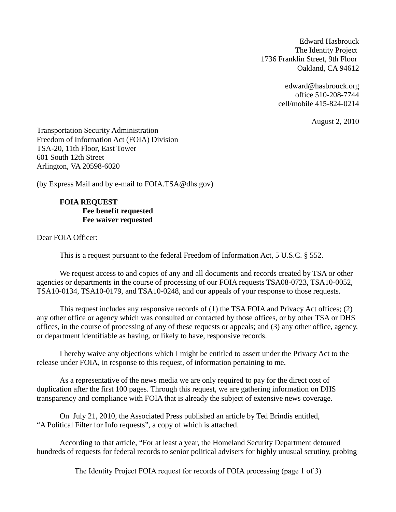Edward Hasbrouck The Identity Project 1736 Franklin Street, 9th Floor Oakland, CA 94612

> edward@hasbrouck.org office 510-208-7744 cell/mobile 415-824-0214

> > August 2, 2010

Transportation Security Administration Freedom of Information Act (FOIA) Division TSA-20, 11th Floor, East Tower 601 South 12th Street Arlington, VA 20598-6020

(by Express Mail and by e-mail to  $FOIA.TSA@dhs.gov)$ )

**FOIA REQUEST Fee benefit requested Fee waiver requested**

Dear FOIA Officer:

This is a request pursuant to the federal Freedom of Information Act, 5 U.S.C. § 552.

We request access to and copies of any and all documents and records created by TSA or other agencies or departments in the course of processing of our FOIA requests TSA08-0723, TSA10-0052, TSA10-0134, TSA10-0179, and TSA10-0248, and our appeals of your response to those requests.

This request includes any responsive records of (1) the TSA FOIA and Privacy Act offices; (2) any other office or agency which was consulted or contacted by those offices, or by other TSA or DHS offices, in the course of processing of any of these requests or appeals; and (3) any other office, agency, or department identifiable as having, or likely to have, responsive records.

I hereby waive any objections which I might be entitled to assert under the Privacy Act to the release under FOIA, in response to this request, of information pertaining to me.

As a representative of the news media we are only required to pay for the direct cost of duplication after the first 100 pages. Through this request, we are gathering information on DHS transparency and compliance with FOIA that is already the subject of extensive news coverage.

On July 21, 2010, the Associated Press published an article by Ted Brindis entitled, "A Political Filter for Info requests", a copy of which is attached.

According to that article, "For at least a year, the Homeland Security Department detoured hundreds of requests for federal records to senior political advisers for highly unusual scrutiny, probing

The Identity Project FOIA request for records of FOIA processing (page 1 of 3)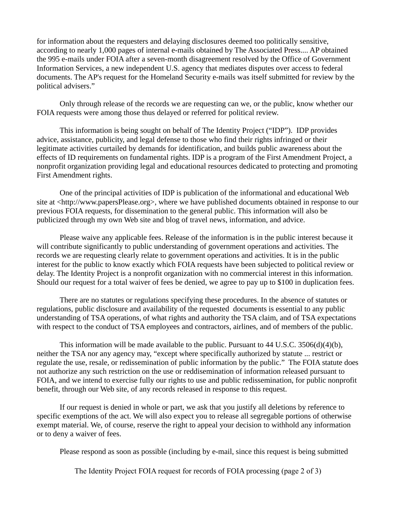for information about the requesters and delaying disclosures deemed too politically sensitive, according to nearly 1,000 pages of internal e-mails obtained by The Associated Press.... AP obtained the 995 e-mails under FOIA after a seven-month disagreement resolved by the Office of Government Information Services, a new independent U.S. agency that mediates disputes over access to federal documents. The AP's request for the Homeland Security e-mails was itself submitted for review by the political advisers."

Only through release of the records we are requesting can we, or the public, know whether our FOIA requests were among those thus delayed or referred for political review.

This information is being sought on behalf of The Identity Project ("IDP"). IDP provides advice, assistance, publicity, and legal defense to those who find their rights infringed or their legitimate activities curtailed by demands for identification, and builds public awareness about the effects of ID requirements on fundamental rights. IDP is a program of the First Amendment Project, a nonprofit organization providing legal and educational resources dedicated to protecting and promoting First Amendment rights.

One of the principal activities of IDP is publication of the informational and educational Web site at <http://www.papersPlease.org>, where we have published documents obtained in response to our previous FOIA requests, for dissemination to the general public. This information will also be publicized through my own Web site and blog of travel news, information, and advice.

Please waive any applicable fees. Release of the information is in the public interest because it will contribute significantly to public understanding of government operations and activities. The records we are requesting clearly relate to government operations and activities. It is in the public interest for the public to know exactly which FOIA requests have been subjected to political review or delay. The Identity Project is a nonprofit organization with no commercial interest in this information. Should our request for a total waiver of fees be denied, we agree to pay up to \$100 in duplication fees.

There are no statutes or regulations specifying these procedures. In the absence of statutes or regulations, public disclosure and availability of the requested documents is essential to any public understanding of TSA operations, of what rights and authority the TSA claim, and of TSA expectations with respect to the conduct of TSA employees and contractors, airlines, and of members of the public.

This information will be made available to the public. Pursuant to 44 U.S.C. 3506(d)(4)(b), neither the TSA nor any agency may, "except where specifically authorized by statute ... restrict or regulate the use, resale, or redissemination of public information by the public." The FOIA statute does not authorize any such restriction on the use or reddisemination of information released pursuant to FOIA, and we intend to exercise fully our rights to use and public redissemination, for public nonprofit benefit, through our Web site, of any records released in response to this request.

If our request is denied in whole or part, we ask that you justify all deletions by reference to specific exemptions of the act. We will also expect you to release all segregable portions of otherwise exempt material. We, of course, reserve the right to appeal your decision to withhold any information or to deny a waiver of fees.

Please respond as soon as possible (including by e-mail, since this request is being submitted

The Identity Project FOIA request for records of FOIA processing (page 2 of 3)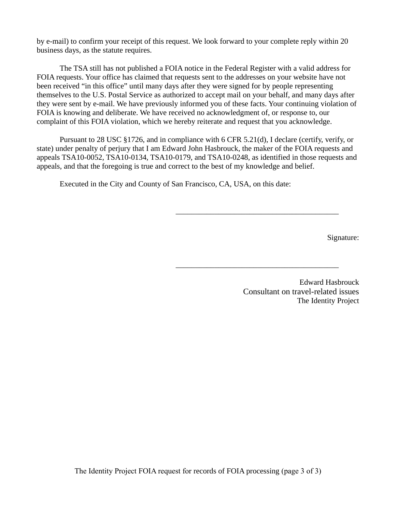by e-mail) to confirm your receipt of this request. We look forward to your complete reply within 20 business days, as the statute requires.

The TSA still has not published a FOIA notice in the Federal Register with a valid address for FOIA requests. Your office has claimed that requests sent to the addresses on your website have not been received "in this office" until many days after they were signed for by people representing themselves to the U.S. Postal Service as authorized to accept mail on your behalf, and many days after they were sent by e-mail. We have previously informed you of these facts. Your continuing violation of FOIA is knowing and deliberate. We have received no acknowledgment of, or response to, our complaint of this FOIA violation, which we hereby reiterate and request that you acknowledge.

Pursuant to 28 USC §1726, and in compliance with 6 CFR 5.21(d), I declare (certify, verify, or state) under penalty of perjury that I am Edward John Hasbrouck, the maker of the FOIA requests and appeals TSA10-0052, TSA10-0134, TSA10-0179, and TSA10-0248, as identified in those requests and appeals, and that the foregoing is true and correct to the best of my knowledge and belief.

Executed in the City and County of San Francisco, CA, USA, on this date:

Signature:

Edward Hasbrouck Consultant on travel-related issues The Identity Project

 $\overline{\phantom{a}}$  , and the contract of the contract of the contract of the contract of the contract of the contract of the contract of the contract of the contract of the contract of the contract of the contract of the contrac

 $\overline{\phantom{a}}$  , and the contract of the contract of the contract of the contract of the contract of the contract of the contract of the contract of the contract of the contract of the contract of the contract of the contrac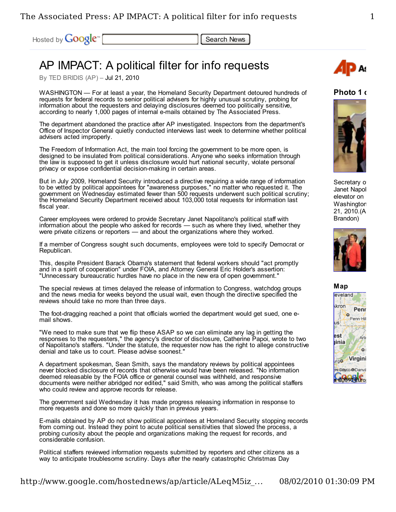Hosted by **Google**<sup>\*\*</sup>

**Search News** 

# AP IMPACT: A political filter for info requests

By TED BRIDIS (AP) - Jul 21, 2010

WASHINGTON - For at least a year, the Homeland Security Department detoured hundreds of requests for federal records to senior political advisers for highly unusual scrutiny, probing for information about the requesters and delaying disclosures deemed too politically sensitive, according to nearly 1,000 pages of internal e-mails obtained by The Associated Press.

The department abandoned the practice after AP investigated. Inspectors from the department's Office of Inspector General quietly conducted interviews last week to determine whether political advisers acted improperly.

The Freedom of Information Act, the main tool forcing the government to be more open, is designed to be insulated from political considerations. Anyone who seeks information through the law is supposed to get it unless disclosure would hurt national security, violate personal privacy or expose confidential decision-making in certain areas.

But in July 2009, Homeland Security introduced a directive requiring a wide range of information to be vetted by political appointees for "awareness purposes," no matter who requested it. The government on Wednesday estima the Homeland Security Department received about 103,000 total requests for information last fiscal year.

Career employees were ordered to provide Secretary Janet Napolitano's political staff with information about the people who asked for records - such as where they lived, whether they were private citizens or reporters — and about the organizations where they worked.

If a member of Congress sought such documents, employees were told to specify Democrat or Republican.

This, despite President Barack Obama's statement that federal workers should "act promptly and in a spirit of cooperation" under FOIA, and Attorney General Eric Holder's assertion: "Unnecessary bureaucratic hurdles have no place in the new era of open government."

The special reviews at times delayed the release of information to Congress, watchdog groups and the news media for weeks beyond the usual wait, even though the directive specified the reviews should take no more than three days.

The foot-dragging reached a point that officials worried the department would get sued, one email shows.

"We need to make sure that we flip these ASAP so we can eliminate any lag in getting the responses to the requesters," the agency's director of disclosure, Catherine Papoi, wrote to two of Napolitano's staffers. "Under the statute, the requester now has the right to allege constructive denial and take us to court. Please advise soonest.

A department spokesman, Sean Smith, says the mandatory reviews by political appointees never blocked disclosure of records that otherwise would have been released. "No information deemed releasable by the FOIA office or general counsel was withheld, and responsive documents were neither abridged nor edited," said Smith, who was among the political staffers who could review and approve records for release.

The government said Wednesday it has made progress releasing information in response to more requests and done so more quickly than in previous years.

E-mails obtained by AP do not show political appointees at Homeland Security stopping records from coming out. Instead they point to acute political sensitivities that slowed the process, a probing curiosity about the people and organizations making the request for records, and considerable confusion.

Political staffers reviewed information requests submitted by reporters and other citizens as a way to anticipate troublesome scrutiny. Days after the nearly catastrophic Christmas Day



### Photo 1 o



Secretary of Janet Napol elevator on Washington 21, 2010.(A Brandon)



#### Map

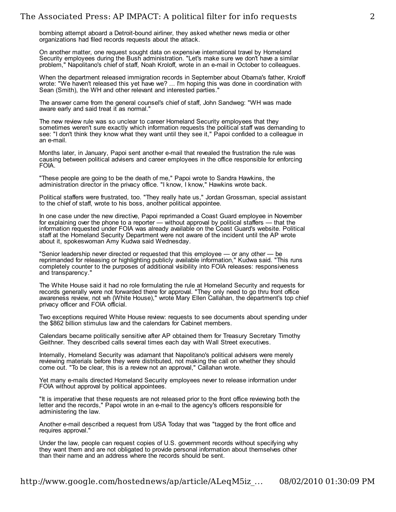bombing attempt aboard a Detroit-bound airliner, they asked whether news media or other organizations had filed records requests about the attack.

On another matter, one request sought data on expensive international travel by Homeland Security employees during the Bush administration. "Let's make sure we don't have a similar problem," Napolitano's chief of staff, Noah Kroloff, wrote in an e-mail in October to colleagues.

When the department released immigration records in September about Obama's father, Kroloff wrote: "We haven't released this yet have we? ... I'm hoping this was done in coordination with Sean (Smith), the WH and other relevant and interested parties."

The answer came from the general counsel's chief of staff, John Sandweg: "WH was made aware early and said treat it as normal."

The new review rule was so unclear to career Homeland Security employees that they sometimes weren't sure exactly which information requests the political staff was demanding to see: "I don't think they know what they want until they see it," Papoi confided to a colleague in an e-mail.

Months later, in January, Papoi sent another e-mail that revealed the frustration the rule was causing between political advisers and career employees in the office responsible for enforcing FOIA.

"These people are going to be the death of me," Papoi wrote to Sandra Hawkins, the administration director in the privacy office. "I know, I know," Hawkins wrote back.

Political staffers were frustrated, too. "They really hate us," Jordan Grossman, special assistant to the chief of staff, wrote to his boss, another political appointee.

In one case under the new directive, Papoi reprimanded a Coast Guard employee in November for explaining over the phone to a reporter  $-$  without approval by political staffers  $-$  that the information requested under FOIA was already available on the Coast Guard's website. Political staff at the Homeland Security Department were not aware of the incident until the AP wrote about it, spokeswoman Amy Kudwa said Wednesday.

"Senior leadership never directed or requested that this employee — or any other — be reprimanded for releasing or highlighting publicly available information," Kudwa said. "This runs completely counter to the purposes of additional visibility into FOIA releases: responsiveness and transparency."

The White House said it had no role formulating the rule at Homeland Security and requests for records generally were not forwarded there for approval. "They only need to go thru front office awareness review, not wh (White House)," wrote Mary Ellen Callahan, the department's top chief privacy officer and FOIA official.

Two exceptions required White House review: requests to see documents about spending under the \$862 billion stimulus law and the calendars for Cabinet members.

Calendars became politically sensitive after AP obtained them for Treasury Secretary Timothy Geithner. They described calls several times each day with Wall Street executives.

Internally, Homeland Security was adamant that Napolitano's political advisers were merely reviewing materials before they were distributed, not making the call on whether they should come out. "To be clear, this is a review not an approval," Callahan wrote.

Yet many e-mails directed Homeland Security employees never to release information under FOIA without approval by political appointees.

"It is imperative that these requests are not released prior to the front office reviewing both the letter and the records," Papoi wrote in an e-mail to the agency's officers responsible for administering the law.

Another e-mail described a request from USA Today that was "tagged by the front office and requires approval."

Under the law, people can request copies of U.S. government records without specifying why they want them and are not obligated to provide personal information about themselves other than their name and an address where the records should be sent.